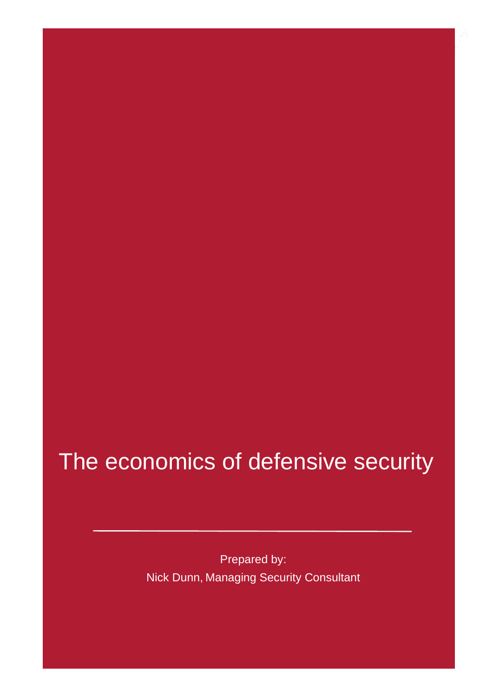### The economics of defensive security

Prepared by: Nick Dunn, Managing Security Consultant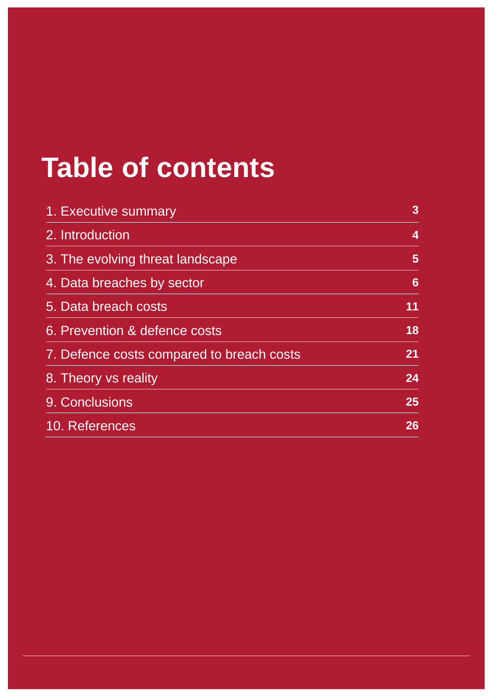### **Table of contents**

| 1. Executive summary                      | $\mathbf{3}$   |
|-------------------------------------------|----------------|
| 2. Introduction                           | 4              |
| 3. The evolving threat landscape          | $5\phantom{.}$ |
| 4. Data breaches by sector                | 6              |
| 5. Data breach costs                      | 11             |
| 6. Prevention & defence costs             | 18             |
| 7. Defence costs compared to breach costs | 21             |
| 8. Theory vs reality                      | 24             |
| 9. Conclusions                            | 25             |
| 10. References                            | 26             |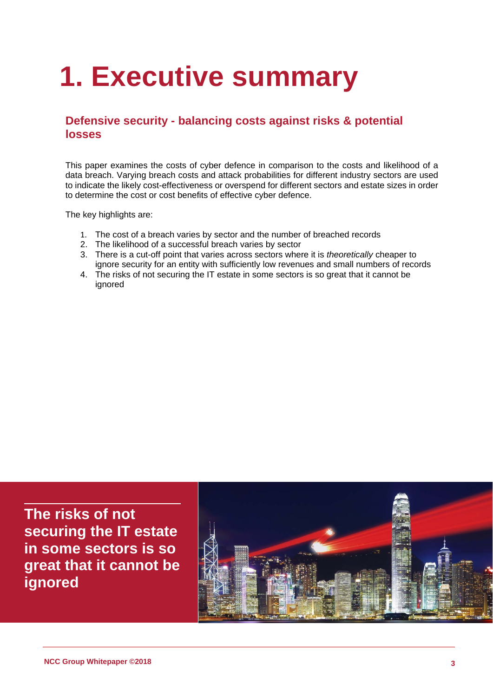## **1. Executive summary**

### **Defensive security - balancing costs against risks & potential losses**

This paper examines the costs of cyber defence in comparison to the costs and likelihood of a data breach. Varying breach costs and attack probabilities for different industry sectors are used to indicate the likely cost-effectiveness or overspend for different sectors and estate sizes in order to determine the cost or cost benefits of effective cyber defence.

The key highlights are:

- 1. The cost of a breach varies by sector and the number of breached records
- 2. The likelihood of a successful breach varies by sector
- 3. There is a cut-off point that varies across sectors where it is *theoretically* cheaper to ignore security for an entity with sufficiently low revenues and small numbers of records
- 4. The risks of not securing the IT estate in some sectors is so great that it cannot be ignored

**The risks of not securing the IT estate in some sectors is so great that it cannot be ignored**

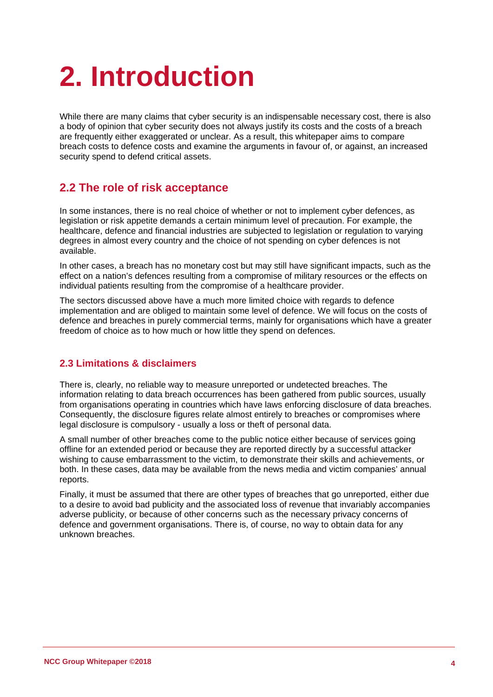# **2. Introduction**

While there are many claims that cyber security is an indispensable necessary cost, there is also a body of opinion that cyber security does not always justify its costs and the costs of a breach are frequently either exaggerated or unclear. As a result, this whitepaper aims to compare breach costs to defence costs and examine the arguments in favour of, or against, an increased security spend to defend critical assets.

### **2.2 The role of risk acceptance**

In some instances, there is no real choice of whether or not to implement cyber defences, as legislation or risk appetite demands a certain minimum level of precaution. For example, the healthcare, defence and financial industries are subjected to legislation or regulation to varying degrees in almost every country and the choice of not spending on cyber defences is not available.

In other cases, a breach has no monetary cost but may still have significant impacts, such as the effect on a nation's defences resulting from a compromise of military resources or the effects on individual patients resulting from the compromise of a healthcare provider.

The sectors discussed above have a much more limited choice with regards to defence implementation and are obliged to maintain some level of defence. We will focus on the costs of defence and breaches in purely commercial terms, mainly for organisations which have a greater freedom of choice as to how much or how little they spend on defences.

#### **2.3 Limitations & disclaimers**

There is, clearly, no reliable way to measure unreported or undetected breaches. The information relating to data breach occurrences has been gathered from public sources, usually from organisations operating in countries which have laws enforcing disclosure of data breaches. Consequently, the disclosure figures relate almost entirely to breaches or compromises where legal disclosure is compulsory - usually a loss or theft of personal data.

A small number of other breaches come to the public notice either because of services going offline for an extended period or because they are reported directly by a successful attacker wishing to cause embarrassment to the victim, to demonstrate their skills and achievements, or both. In these cases, data may be available from the news media and victim companies' annual reports.

Finally, it must be assumed that there are other types of breaches that go unreported, either due to a desire to avoid bad publicity and the associated loss of revenue that invariably accompanies adverse publicity, or because of other concerns such as the necessary privacy concerns of defence and government organisations. There is, of course, no way to obtain data for any unknown breaches.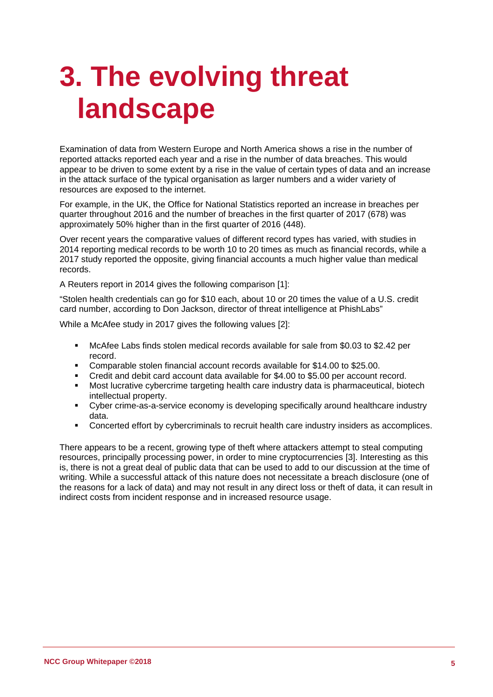## **3. The evolving threat landscape**

Examination of data from Western Europe and North America shows a rise in the number of reported attacks reported each year and a rise in the number of data breaches. This would appear to be driven to some extent by a rise in the value of certain types of data and an increase in the attack surface of the typical organisation as larger numbers and a wider variety of resources are exposed to the internet.

For example, in the UK, the Office for National Statistics reported an increase in breaches per quarter throughout 2016 and the number of breaches in the first quarter of 2017 (678) was approximately 50% higher than in the first quarter of 2016 (448).

Over recent years the comparative values of different record types has varied, with studies in 2014 reporting medical records to be worth 10 to 20 times as much as financial records, while a 2017 study reported the opposite, giving financial accounts a much higher value than medical records.

A Reuters report in 2014 gives the following comparison [1]:

"Stolen health credentials can go for \$10 each, about 10 or 20 times the value of a U.S. credit card number, according to Don Jackson, director of threat intelligence at PhishLabs"

While a McAfee study in 2017 gives the following values [2]:

- McAfee Labs finds stolen medical records available for sale from \$0.03 to \$2.42 per record.
- Comparable stolen financial account records available for \$14.00 to \$25.00.
- Credit and debit card account data available for \$4.00 to \$5.00 per account record.
- Most lucrative cybercrime targeting health care industry data is pharmaceutical, biotech intellectual property.
- Cyber crime-as-a-service economy is developing specifically around healthcare industry data.
- Concerted effort by cybercriminals to recruit health care industry insiders as accomplices.

There appears to be a recent, growing type of theft where attackers attempt to steal computing resources, principally processing power, in order to mine cryptocurrencies [3]. Interesting as this is, there is not a great deal of public data that can be used to add to our discussion at the time of writing. While a successful attack of this nature does not necessitate a breach disclosure (one of the reasons for a lack of data) and may not result in any direct loss or theft of data, it can result in indirect costs from incident response and in increased resource usage.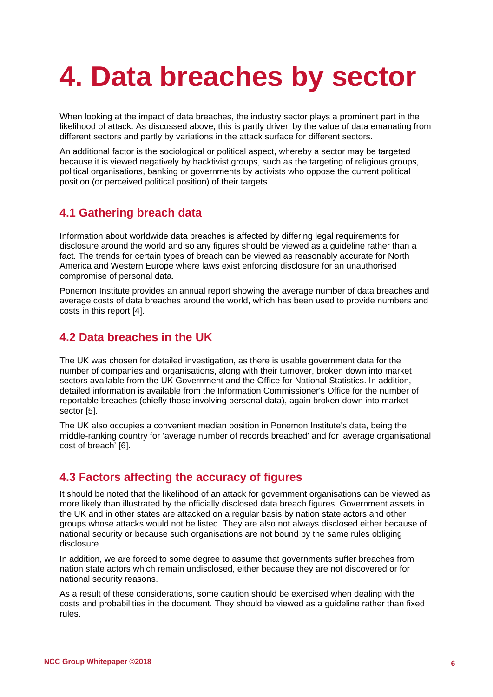## **4. Data breaches by sector**

When looking at the impact of data breaches, the industry sector plays a prominent part in the likelihood of attack. As discussed above, this is partly driven by the value of data emanating from different sectors and partly by variations in the attack surface for different sectors.

An additional factor is the sociological or political aspect, whereby a sector may be targeted because it is viewed negatively by hacktivist groups, such as the targeting of religious groups, political organisations, banking or governments by activists who oppose the current political position (or perceived political position) of their targets.

### **4.1 Gathering breach data**

Information about worldwide data breaches is affected by differing legal requirements for disclosure around the world and so any figures should be viewed as a guideline rather than a fact. The trends for certain types of breach can be viewed as reasonably accurate for North America and Western Europe where laws exist enforcing disclosure for an unauthorised compromise of personal data.

Ponemon Institute provides an annual report showing the average number of data breaches and average costs of data breaches around the world, which has been used to provide numbers and costs in this report [4].

### **4.2 Data breaches in the UK**

The UK was chosen for detailed investigation, as there is usable government data for the number of companies and organisations, along with their turnover, broken down into market sectors available from the UK Government and the Office for National Statistics. In addition, detailed information is available from the Information Commissioner's Office for the number of reportable breaches (chiefly those involving personal data), again broken down into market sector [5].

The UK also occupies a convenient median position in Ponemon Institute's data, being the middle-ranking country for 'average number of records breached' and for 'average organisational cost of breach' [6].

### **4.3 Factors affecting the accuracy of figures**

It should be noted that the likelihood of an attack for government organisations can be viewed as more likely than illustrated by the officially disclosed data breach figures. Government assets in the UK and in other states are attacked on a regular basis by nation state actors and other groups whose attacks would not be listed. They are also not always disclosed either because of national security or because such organisations are not bound by the same rules obliging disclosure.

In addition, we are forced to some degree to assume that governments suffer breaches from nation state actors which remain undisclosed, either because they are not discovered or for national security reasons.

As a result of these considerations, some caution should be exercised when dealing with the costs and probabilities in the document. They should be viewed as a guideline rather than fixed rules.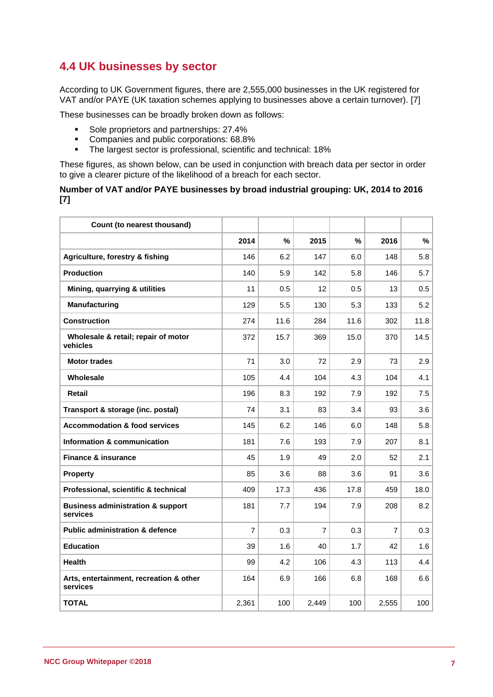### **4.4 UK businesses by sector**

According to UK Government figures, there are 2,555,000 businesses in the UK registered for VAT and/or PAYE (UK taxation schemes applying to businesses above a certain turnover). [7]

These businesses can be broadly broken down as follows:

- Sole proprietors and partnerships: 27.4%<br>Companies and public corporations: 68.89
- **Companies and public corporations: 68.8%**<br>The largest sector is professional scientific
- The largest sector is professional, scientific and technical: 18%

These figures, as shown below, can be used in conjunction with breach data per sector in order to give a clearer picture of the likelihood of a breach for each sector.

#### **Number of VAT and/or PAYE businesses by broad industrial grouping: UK, 2014 to 2016 [7]**

| Count (to nearest thousand)                              |                |      |                |      |       |      |
|----------------------------------------------------------|----------------|------|----------------|------|-------|------|
|                                                          | 2014           | $\%$ | 2015           | %    | 2016  | %    |
| Agriculture, forestry & fishing                          | 146            | 6.2  | 147            | 6.0  | 148   | 5.8  |
| <b>Production</b>                                        | 140            | 5.9  | 142            | 5.8  | 146   | 5.7  |
| Mining, quarrying & utilities                            | 11             | 0.5  | 12             | 0.5  | 13    | 0.5  |
| <b>Manufacturing</b>                                     | 129            | 5.5  | 130            | 5.3  | 133   | 5.2  |
| <b>Construction</b>                                      | 274            | 11.6 | 284            | 11.6 | 302   | 11.8 |
| Wholesale & retail; repair of motor<br>vehicles          | 372            | 15.7 | 369            | 15.0 | 370   | 14.5 |
| <b>Motor trades</b>                                      | 71             | 3.0  | 72             | 2.9  | 73    | 2.9  |
| Wholesale                                                | 105            | 4.4  | 104            | 4.3  | 104   | 4.1  |
| Retail                                                   | 196            | 8.3  | 192            | 7.9  | 192   | 7.5  |
| Transport & storage (inc. postal)                        | 74             | 3.1  | 83             | 3.4  | 93    | 3.6  |
| <b>Accommodation &amp; food services</b>                 | 145            | 6.2  | 146            | 6.0  | 148   | 5.8  |
| Information & communication                              | 181            | 7.6  | 193            | 7.9  | 207   | 8.1  |
| <b>Finance &amp; insurance</b>                           | 45             | 1.9  | 49             | 2.0  | 52    | 2.1  |
| <b>Property</b>                                          | 85             | 3.6  | 88             | 3.6  | 91    | 3.6  |
| Professional, scientific & technical                     | 409            | 17.3 | 436            | 17.8 | 459   | 18.0 |
| <b>Business administration &amp; support</b><br>services | 181            | 7.7  | 194            | 7.9  | 208   | 8.2  |
| <b>Public administration &amp; defence</b>               | $\overline{7}$ | 0.3  | $\overline{7}$ | 0.3  | 7     | 0.3  |
| <b>Education</b>                                         | 39             | 1.6  | 40             | 1.7  | 42    | 1.6  |
| <b>Health</b>                                            | 99             | 4.2  | 106            | 4.3  | 113   | 4.4  |
| Arts, entertainment, recreation & other<br>services      | 164            | 6.9  | 166            | 6.8  | 168   | 6.6  |
| <b>TOTAL</b>                                             | 2,361          | 100  | 2.449          | 100  | 2,555 | 100  |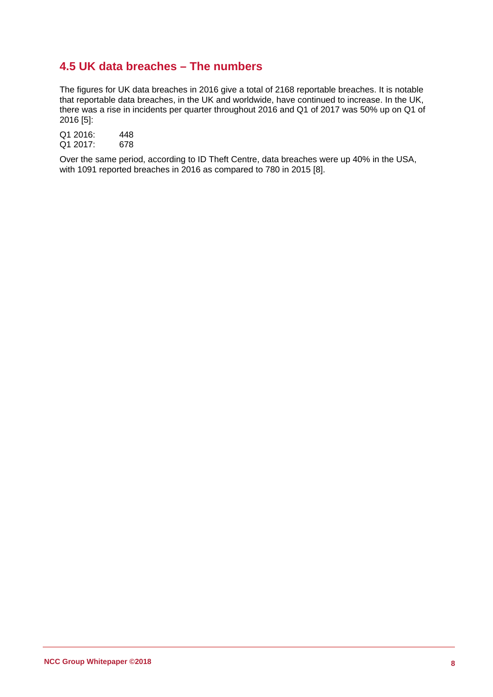### **4.5 UK data breaches – The numbers**

The figures for UK data breaches in 2016 give a total of 2168 reportable breaches. It is notable that reportable data breaches, in the UK and worldwide, have continued to increase. In the UK, there was a rise in incidents per quarter throughout 2016 and Q1 of 2017 was 50% up on Q1 of 2016 [5]:

Q1 2016: 448<br>Q1 2017: 678  $Q1 2017$ :

Over the same period, according to ID Theft Centre, data breaches were up 40% in the USA, with 1091 reported breaches in 2016 as compared to 780 in 2015 [8].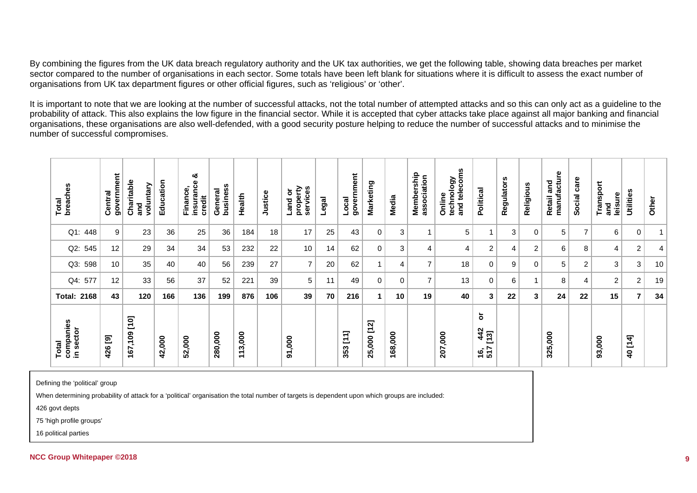By combining the figures from the UK data breach regulatory authority and the UK tax authorities, we get the following table, showing data breaches per market sector compared to the number of organisations in each sector. Some totals have been left blank for situations where it is difficult to assess the exact number of organisations from UK tax department figures or other official figures, such as 'religious' or 'other'.

It is important to note that we are looking at the number of successful attacks, not the total number of attempted attacks and so this can only act as a guideline to the probability of attack. This also explains the low figure in the financial sector. While it is accepted that cyber attacks take place against all major banking and financial organisations, these organisations are also well-defended, with a good security posture helping to reduce the number of successful attacks and to minimise the number of successful compromises.

| breaches<br>Total               | government<br>Central | Charitable<br>voluntary<br>and | Education | ఱ<br>insurance<br>Finance<br>credit | business<br>General | Health                                                        | Justice | property<br>services<br>Land or | Legal | government<br>Loca     | Marketing        | Media   | Membership<br>association | and telecoms<br>technology<br>Online | Political                                       | Regulators | Religious      | manufacture<br>Retail and | care<br><b>Social</b> | Transport<br>leisure<br>and | Utilities      | Other          |
|---------------------------------|-----------------------|--------------------------------|-----------|-------------------------------------|---------------------|---------------------------------------------------------------|---------|---------------------------------|-------|------------------------|------------------|---------|---------------------------|--------------------------------------|-------------------------------------------------|------------|----------------|---------------------------|-----------------------|-----------------------------|----------------|----------------|
| $Q1$ :<br>448                   | 9                     | 23                             | 36        | 25                                  | 36                  | 184                                                           | 18      | 17                              | 25    | 43                     | $\mathbf 0$      | 3       | $\overline{A}$            | 5                                    | и                                               | 3          | $\mathbf 0$    | 5                         | $\overline{7}$        | 6                           | 0              | $\mathbf 1$    |
| 545<br>$Q2$ :                   | 12                    | 29                             | 34        | 34                                  | 53                  | 232                                                           | 22      | 10                              | 14    | 62                     | 0                | 3       | $\overline{4}$            | 4                                    | $\overline{c}$                                  | 4          | $\overline{2}$ | 6                         | 8                     | 4                           | $\overline{c}$ | $\overline{4}$ |
| 598<br>$Q3$ :                   | 10 <sub>1</sub>       | 35                             | 40        | 40                                  | 56                  | 239                                                           | 27      | $\overline{7}$                  | 20    | 62                     |                  | 4       | $\overline{7}$            | 18                                   | 0                                               | 9          | $\mathbf 0$    | 5                         | 2                     | 3                           | 3              | 10             |
| 577<br>$Q4$ :                   | 12                    | 33                             | 56        | 37                                  | 52                  | 221                                                           | 39      | 5                               | 11    | 49                     | 0                | 0       | $\overline{7}$            | 13                                   | 0                                               | 6          | $\overline{ }$ | 8                         | $\overline{4}$        | $\overline{2}$              | $\mathbf{2}$   | 19             |
| 2168<br>Total:                  | 43                    | 120                            | 166       | 136                                 | 199                 | 876                                                           | 106     | 39                              | 70    | 216                    | 1                | 10      | 19                        | 40                                   | $\mathbf{3}$                                    | 22         | 3              | 24                        | 22                    | 15                          | $\overline{7}$ | 34             |
| companies<br>in sector<br>Total | <u>ම</u><br>426       | 167,109 [10]                   | 42,000    | 52,000                              | 280,000             | 3,000<br>$\overline{\phantom{0}}$<br>$\overline{\phantom{0}}$ |         | 91,000                          |       | $\overline{11}$<br>353 | $[12]$<br>25,000 | 168,000 |                           | 207,000                              | $\overline{5}$<br>$\frac{42}{13}$<br>16,<br>517 |            |                | 325,000                   |                       | 93,000                      | 40 [14]        |                |

Defining the 'political' group

When determining probability of attack for a 'political' organisation the total number of targets is dependent upon which groups are included:

426 govt depts

75 'high profile groups'

16 political parties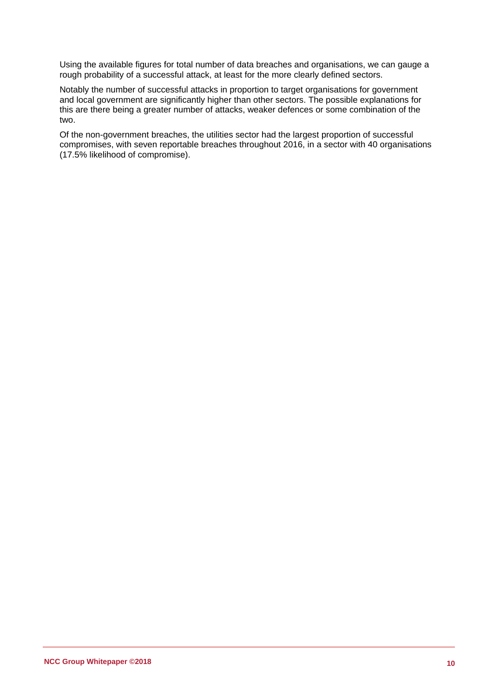Using the available figures for total number of data breaches and organisations, we can gauge a rough probability of a successful attack, at least for the more clearly defined sectors.

Notably the number of successful attacks in proportion to target organisations for government and local government are significantly higher than other sectors. The possible explanations for this are there being a greater number of attacks, weaker defences or some combination of the two.

Of the non-government breaches, the utilities sector had the largest proportion of successful compromises, with seven reportable breaches throughout 2016, in a sector with 40 organisations (17.5% likelihood of compromise).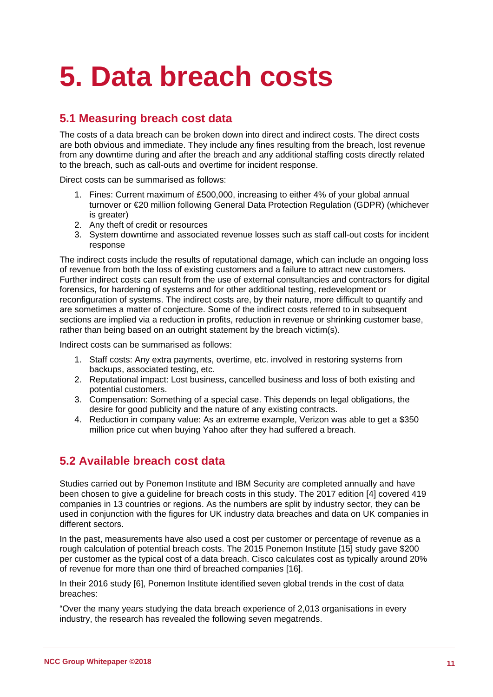## **5. Data breach costs**

### **5.1 Measuring breach cost data**

The costs of a data breach can be broken down into direct and indirect costs. The direct costs are both obvious and immediate. They include any fines resulting from the breach, lost revenue from any downtime during and after the breach and any additional staffing costs directly related to the breach, such as call-outs and overtime for incident response.

Direct costs can be summarised as follows:

- 1. Fines: Current maximum of £500,000, increasing to either 4% of your global annual turnover or €20 million following General Data Protection Regulation (GDPR) (whichever is greater)
- 2. Any theft of credit or resources
- 3. System downtime and associated revenue losses such as staff call-out costs for incident response

The indirect costs include the results of reputational damage, which can include an ongoing loss of revenue from both the loss of existing customers and a failure to attract new customers. Further indirect costs can result from the use of external consultancies and contractors for digital forensics, for hardening of systems and for other additional testing, redevelopment or reconfiguration of systems. The indirect costs are, by their nature, more difficult to quantify and are sometimes a matter of conjecture. Some of the indirect costs referred to in subsequent sections are implied via a reduction in profits, reduction in revenue or shrinking customer base, rather than being based on an outright statement by the breach victim(s).

Indirect costs can be summarised as follows:

- 1. Staff costs: Any extra payments, overtime, etc. involved in restoring systems from backups, associated testing, etc.
- 2. Reputational impact: Lost business, cancelled business and loss of both existing and potential customers.
- 3. Compensation: Something of a special case. This depends on legal obligations, the desire for good publicity and the nature of any existing contracts.
- 4. Reduction in company value: As an extreme example, Verizon was able to get a \$350 million price cut when buying Yahoo after they had suffered a breach.

### **5.2 Available breach cost data**

Studies carried out by Ponemon Institute and IBM Security are completed annually and have been chosen to give a guideline for breach costs in this study. The 2017 edition [4] covered 419 companies in 13 countries or regions. As the numbers are split by industry sector, they can be used in conjunction with the figures for UK industry data breaches and data on UK companies in different sectors.

In the past, measurements have also used a cost per customer or percentage of revenue as a rough calculation of potential breach costs. The 2015 Ponemon Institute [15] study gave \$200 per customer as the typical cost of a data breach. Cisco calculates cost as typically around 20% of revenue for more than one third of breached companies [16].

In their 2016 study [6], Ponemon Institute identified seven global trends in the cost of data breaches:

"Over the many years studying the data breach experience of 2,013 organisations in every industry, the research has revealed the following seven megatrends.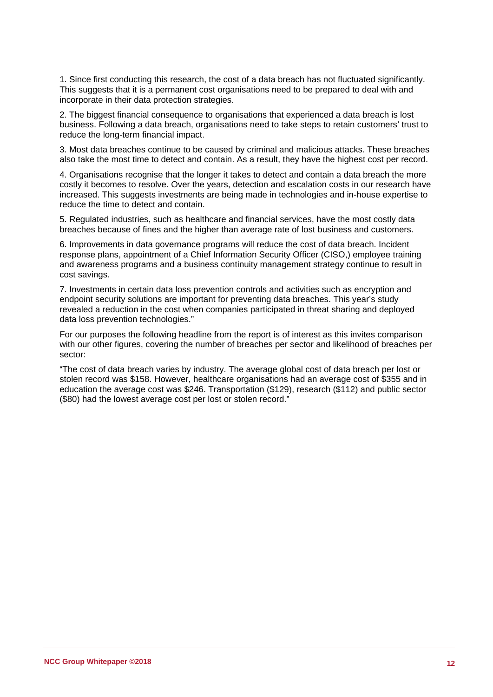1. Since first conducting this research, the cost of a data breach has not fluctuated significantly. This suggests that it is a permanent cost organisations need to be prepared to deal with and incorporate in their data protection strategies.

2. The biggest financial consequence to organisations that experienced a data breach is lost business. Following a data breach, organisations need to take steps to retain customers' trust to reduce the long-term financial impact.

3. Most data breaches continue to be caused by criminal and malicious attacks. These breaches also take the most time to detect and contain. As a result, they have the highest cost per record.

4. Organisations recognise that the longer it takes to detect and contain a data breach the more costly it becomes to resolve. Over the years, detection and escalation costs in our research have increased. This suggests investments are being made in technologies and in-house expertise to reduce the time to detect and contain.

5. Regulated industries, such as healthcare and financial services, have the most costly data breaches because of fines and the higher than average rate of lost business and customers.

6. Improvements in data governance programs will reduce the cost of data breach. Incident response plans, appointment of a Chief Information Security Officer (CISO,) employee training and awareness programs and a business continuity management strategy continue to result in cost savings.

7. Investments in certain data loss prevention controls and activities such as encryption and endpoint security solutions are important for preventing data breaches. This year's study revealed a reduction in the cost when companies participated in threat sharing and deployed data loss prevention technologies."

For our purposes the following headline from the report is of interest as this invites comparison with our other figures, covering the number of breaches per sector and likelihood of breaches per sector:

"The cost of data breach varies by industry. The average global cost of data breach per lost or stolen record was \$158. However, healthcare organisations had an average cost of \$355 and in education the average cost was \$246. Transportation (\$129), research (\$112) and public sector (\$80) had the lowest average cost per lost or stolen record."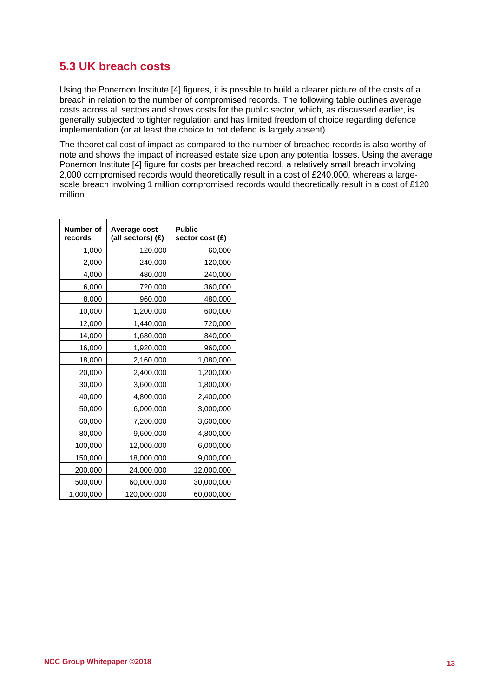### **5.3 UK breach costs**

Using the Ponemon Institute [4] figures, it is possible to build a clearer picture of the costs of a breach in relation to the number of compromised records. The following table outlines average costs across all sectors and shows costs for the public sector, which, as discussed earlier, is generally subjected to tighter regulation and has limited freedom of choice regarding defence implementation (or at least the choice to not defend is largely absent).

The theoretical cost of impact as compared to the number of breached records is also worthy of note and shows the impact of increased estate size upon any potential losses. Using the average Ponemon Institute [4] figure for costs per breached record, a relatively small breach involving 2,000 compromised records would theoretically result in a cost of £240,000, whereas a largescale breach involving 1 million compromised records would theoretically result in a cost of £120 million.

| <b>Number of</b><br>records | Average cost<br>(all sectors) (£) | <b>Public</b><br>sector cost (£) |
|-----------------------------|-----------------------------------|----------------------------------|
| 1,000                       | 120,000                           | 60,000                           |
| 2,000                       | 240,000                           | 120,000                          |
| 4,000                       | 480,000                           | 240,000                          |
| 6,000                       | 720,000                           | 360,000                          |
| 8,000                       | 960,000                           | 480,000                          |
| 10,000                      | 1,200,000                         | 600,000                          |
| 12,000                      | 1,440,000                         | 720,000                          |
| 14,000                      | 1,680,000                         | 840,000                          |
| 16,000                      | 1,920,000                         | 960,000                          |
| 18,000                      | 2,160,000                         | 1,080,000                        |
| 20,000                      | 2,400,000                         | 1,200,000                        |
| 30,000                      | 3,600,000                         | 1,800,000                        |
| 40,000                      | 4,800,000                         | 2,400,000                        |
| 50,000                      | 6,000,000                         | 3,000,000                        |
| 60,000                      | 7,200,000                         | 3,600,000                        |
| 80,000                      | 9,600,000                         | 4,800,000                        |
| 100,000                     | 12,000,000                        | 6,000,000                        |
| 150,000                     | 18,000,000                        | 9,000,000                        |
| 200,000                     | 24,000,000                        | 12,000,000                       |
| 500,000                     | 60,000,000                        | 30,000,000                       |
| 1,000,000                   | 120,000,000                       | 60,000,000                       |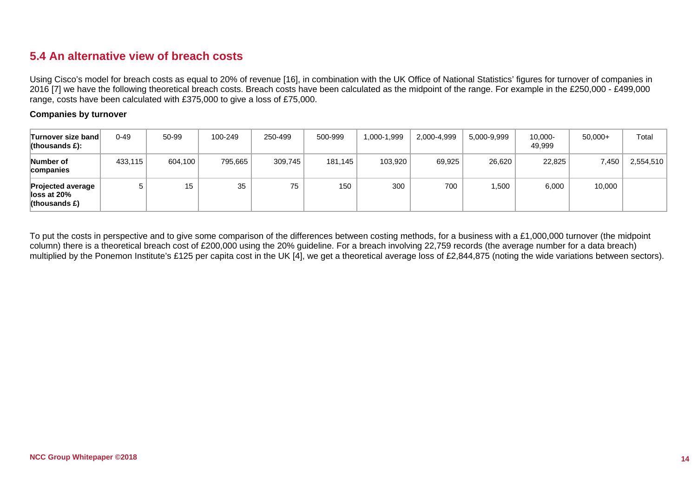### **5.4 An alternative view of breach costs**

Using Cisco's model for breach costs as equal to 20% of revenue [16], in combination with the UK Office of National Statistics' figures for turnover of companies in 2016 [7] we have the following theoretical breach costs. Breach costs have been calculated as the midpoint of the range. For example in the £250,000 - £499,000 range, costs have been calculated with £375,000 to give a loss of £75,000.

#### **Companies by turnover**

| Turnover size band∣<br>(thousands $E$ ):                        | $0 - 49$ | 50-99   | 100-249 | 250-499 | 500-999 | 999, 1-000, ا | 2,000-4,999 | 5,000-9,999 | 10,000-<br>49.999 | $50,000+$ | Total     |
|-----------------------------------------------------------------|----------|---------|---------|---------|---------|---------------|-------------|-------------|-------------------|-----------|-----------|
| Number of<br>companies                                          | 433.115  | 604,100 | 795,665 | 309.745 | 181,145 | 103,920       | 69,925      | 26,620      | 22,825            | 7,450     | 2,554,510 |
| <b>Projected average</b><br>lloss at $20\%$<br>(thousands $E$ ) |          | 15      | 35      | 75      | 150     | 300           | 700         | .500        | 6,000             | 10,000    |           |

To put the costs in perspective and to give some comparison of the differences between costing methods, for a business with a £1,000,000 turnover (the midpoint column) there is a theoretical breach cost of £200,000 using the 20% guideline. For a breach involving 22,759 records (the average number for a data breach) multiplied by the Ponemon Institute's £125 per capita cost in the UK [4], we get a theoretical average loss of £2,844,875 (noting the wide variations between sectors).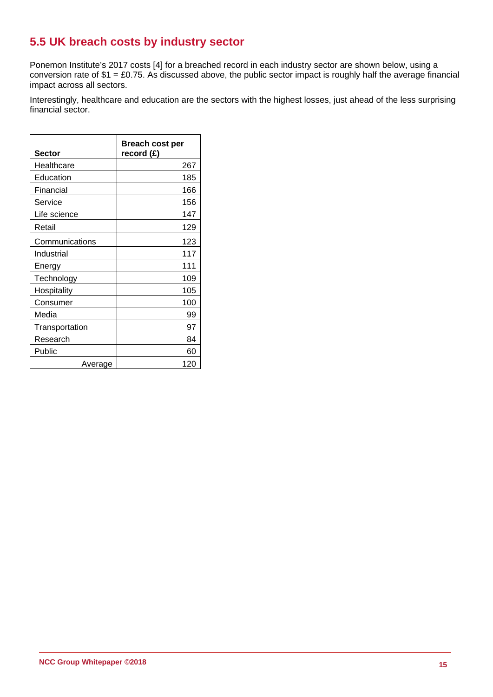### **5.5 UK breach costs by industry sector**

Ponemon Institute's 2017 costs [4] for a breached record in each industry sector are shown below, using a conversion rate of \$1 = £0.75. As discussed above, the public sector impact is roughly half the average financial impact across all sectors.

Interestingly, healthcare and education are the sectors with the highest losses, just ahead of the less surprising financial sector.

| <b>Sector</b>  | <b>Breach cost per</b><br>record (£) |
|----------------|--------------------------------------|
| Healthcare     | 267                                  |
| Education      | 185                                  |
| Financial      | 166                                  |
| Service        | 156                                  |
| Life science   | 147                                  |
| Retail         | 129                                  |
| Communications | 123                                  |
| Industrial     | 117                                  |
| Energy         | 111                                  |
| Technology     | 109                                  |
| Hospitality    | 105                                  |
| Consumer       | 100                                  |
| Media          | 99                                   |
| Transportation | 97                                   |
| Research       | 84                                   |
| Public         | 60                                   |
| Average        | 120                                  |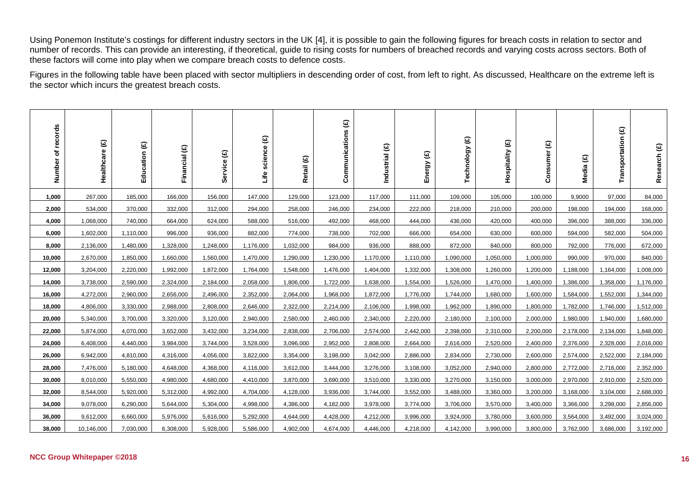Using Ponemon Institute's costings for different industry sectors in the UK [4], it is possible to gain the following figures for breach costs in relation to sector and number of records. This can provide an interesting, if theoretical, guide to rising costs for numbers of breached records and varying costs across sectors. Both of these factors will come into play when we compare breach costs to defence costs.

Figures in the following table have been placed with sector multipliers in descending order of cost, from left to right. As discussed, Healthcare on the extreme left is the sector which incurs the greatest breach costs.

| records<br>৳<br>Number | Healthcare (£) | Education (£) | Financial (£) | Service (£) | Life science (£) | Retail (£) | Communications (£) | Industrial (£) | $\widehat{\mathbf{e}}$<br>Energy | Technology (£) | Hospitality (£) | $\mathbf{\Theta}$<br>Consumer | $\widehat{\mathbf{e}}$<br>Media | Transportation (£) | Research (£) |
|------------------------|----------------|---------------|---------------|-------------|------------------|------------|--------------------|----------------|----------------------------------|----------------|-----------------|-------------------------------|---------------------------------|--------------------|--------------|
| 1,000                  | 267,000        | 185,000       | 166,000       | 156,000     | 147,000          | 129,000    | 123,000            | 117,000        | 111,000                          | 109,000        | 105,000         | 100,000                       | 9,9000                          | 97,000             | 84,000       |
| 2,000                  | 534,000        | 370,000       | 332,000       | 312,000     | 294,000          | 258,000    | 246,000            | 234,000        | 222,000                          | 218,000        | 210,000         | 200,000                       | 198,000                         | 194,000            | 168,000      |
| 4,000                  | 1,068,000      | 740,000       | 664,000       | 624,000     | 588,000          | 516,000    | 492,000            | 468,000        | 444,000                          | 436,000        | 420,000         | 400,000                       | 396,000                         | 388,000            | 336,000      |
| 6,000                  | 1,602,000      | 1,110,000     | 996,000       | 936,000     | 882,000          | 774,000    | 738,000            | 702,000        | 666,000                          | 654,000        | 630,000         | 600,000                       | 594,000                         | 582,000            | 504,000      |
| 8,000                  | 2,136,000      | 1,480,000     | 1,328,000     | 1,248,000   | 1,176,000        | 1,032,000  | 984,000            | 936,000        | 888,000                          | 872,000        | 840,000         | 800,000                       | 792,000                         | 776,000            | 672,000      |
| 10,000                 | 2,670,000      | 1,850,000     | 1,660,000     | 1,560,000   | 1,470,000        | 1,290,000  | 1,230,000          | 1,170,000      | 1,110,000                        | 1,090,000      | 1,050,000       | 1,000,000                     | 990,000                         | 970,000            | 840,000      |
| 12,000                 | 3,204,000      | 2,220,000     | 1,992,000     | 1,872,000   | 1,764,000        | 1,548,000  | 1,476,000          | 1,404,000      | 1,332,000                        | 1,308,000      | 1,260,000       | 1,200,000                     | 1,188,000                       | 1,164,000          | 1,008,000    |
| 14,000                 | 3,738,000      | 2,590,000     | 2,324,000     | 2,184,000   | 2,058,000        | 1,806,000  | 1,722,000          | 1,638,000      | 1,554,000                        | 1,526,000      | 1,470,000       | 1,400,000                     | 1,386,000                       | 1,358,000          | 1,176,000    |
| 16,000                 | 4,272,000      | 2,960,000     | 2,656,000     | 2,496,000   | 2,352,000        | 2,064,000  | 1,968,000          | 1,872,000      | 1,776,000                        | 1,744,000      | 1,680,000       | 1,600,000                     | 1,584,000                       | 1,552,000          | 1,344,000    |
| 18,000                 | 4,806,000      | 3,330,000     | 2,988,000     | 2,808,000   | 2,646,000        | 2,322,000  | 2,214,000          | 2,106,000      | 1,998,000                        | 1,962,000      | 1,890,000       | 1,800,000                     | 1,782,000                       | 1,746,000          | 1,512,000    |
| 20,000                 | 5,340,000      | 3,700,000     | 3,320,000     | 3,120,000   | 2,940,000        | 2,580,000  | 2,460,000          | 2,340,000      | 2,220,000                        | 2,180,000      | 2,100,000       | 2,000,000                     | 1,980,000                       | 1,940,000          | 1,680,000    |
| 22,000                 | 5,874,000      | 4,070,000     | 3,652,000     | 3,432,000   | 3,234,000        | 2,838,000  | 2,706,000          | 2,574,000      | 2,442,000                        | 2,398,000      | 2,310,000       | 2,200,000                     | 2,178,000                       | 2,134,000          | 1,848,000    |
| 24,000                 | 6,408,000      | 4,440,000     | 3,984,000     | 3,744,000   | 3,528,000        | 3,096,000  | 2,952,000          | 2,808,000      | 2,664,000                        | 2,616,000      | 2,520,000       | 2,400,000                     | 2,376,000                       | 2,328,000          | 2,016,000    |
| 26,000                 | 6,942,000      | 4,810,000     | 4,316,000     | 4,056,000   | 3,822,000        | 3,354,000  | 3,198,000          | 3,042,000      | 2,886,000                        | 2,834,000      | 2,730,000       | 2,600,000                     | 2,574,000                       | 2,522,000          | 2,184,000    |
| 28,000                 | 7,476,000      | 5,180,000     | 4,648,000     | 4,368,000   | 4,116,000        | 3,612,000  | 3,444,000          | 3,276,000      | 3,108,000                        | 3,052,000      | 2,940,000       | 2,800,000                     | 2,772,000                       | 2,716,000          | 2,352,000    |
| 30,000                 | 8,010,000      | 5,550,000     | 4,980,000     | 4,680,000   | 4,410,000        | 3,870,000  | 3,690,000          | 3,510,000      | 3,330,000                        | 3,270,000      | 3,150,000       | 3,000,000                     | 2,970,000                       | 2,910,000          | 2,520,000    |
| 32,000                 | 8,544,000      | 5,920,000     | 5,312,000     | 4,992,000   | 4,704,000        | 4,128,000  | 3,936,000          | 3,744,000      | 3,552,000                        | 3,488,000      | 3,360,000       | 3,200,000                     | 3,168,000                       | 3,104,000          | 2,688,000    |
| 34,000                 | 9,078,000      | 6,290,000     | 5,644,000     | 5,304,000   | 4,998,000        | 4,386,000  | 4,182,000          | 3,978,000      | 3,774,000                        | 3,706,000      | 3,570,000       | 3,400,000                     | 3,366,000                       | 3,298,000          | 2,856,000    |
| 36,000                 | 9,612,000      | 6,660,000     | 5,976,000     | 5,616,000   | 5,292,000        | 4,644,000  | 4,428,000          | 4,212,000      | 3,996,000                        | 3,924,000      | 3,780,000       | 3,600,000                     | 3,564,000                       | 3,492,000          | 3,024,000    |
| 38,000                 | 10,146,000     | 7,030,000     | 6,308,000     | 5,928,000   | 5,586,000        | 4,902,000  | 4,674,000          | 4,446,000      | 4,218,000                        | 4,142,000      | 3,990,000       | 3,800,000                     | 3,762,000                       | 3,686,000          | 3,192,000    |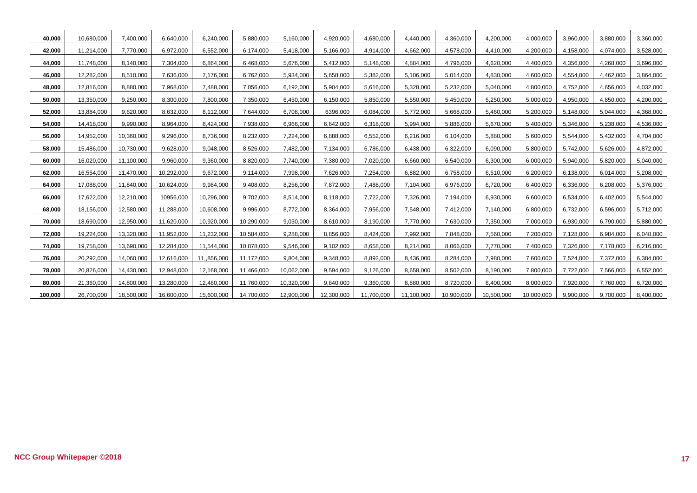| 40,000  | 10,680,000 | 7,400,000  | 6,640,000  | 6,240,000   | 5,880,000  | 5,160,000  | 4,920,000  | 4,680,000  | 4,440,000  | 4,360,000  | 4,200,000  | 4,000,000  | 3,960,000 | 3,880,000 | 3,360,000 |
|---------|------------|------------|------------|-------------|------------|------------|------------|------------|------------|------------|------------|------------|-----------|-----------|-----------|
| 42,000  | 11,214,000 | 7,770,000  | 6,972,000  | 6,552,000   | 6,174,000  | 5,418,000  | 5,166,000  | 4,914,000  | 4,662,000  | 4,578,000  | 4,410,000  | 4,200,000  | 4,158,000 | 4,074,000 | 3,528,000 |
| 44,000  | 11,748,000 | 8,140,000  | 7,304,000  | 6,864,000   | 6,468,000  | 5,676,000  | 5,412,000  | 5,148,000  | 4,884,000  | 4,796,000  | 4,620,000  | 4,400,000  | 4,356,000 | 4,268,000 | 3,696,000 |
| 46,000  | 12,282,000 | 8,510,000  | 7,636,000  | 7,176,000   | 6,762,000  | 5,934,000  | 5,658,000  | 5,382,000  | 5,106,000  | 5,014,000  | 4,830,000  | 4,600,000  | 4,554,000 | 4,462,000 | 3,864,000 |
| 48,000  | 12,816,000 | 8,880,000  | 7,968,000  | 7,488,000   | 7,056,000  | 6,192,000  | 5,904,000  | 5,616,000  | 5,328,000  | 5,232,000  | 5,040,000  | 4,800,000  | 4,752,000 | 4,656,000 | 4,032,000 |
| 50,000  | 13,350,000 | 9,250,000  | 8,300,000  | 7,800,000   | 7,350,000  | 6,450,000  | 6,150,000  | 5,850,000  | 5,550,000  | 5,450,000  | 5,250,000  | 5,000,000  | 4,950,000 | 4,850,000 | 4,200,000 |
| 52,000  | 13,884,000 | 9,620,000  | 8,632,000  | 8,112,000   | 7,644,000  | 6,708,000  | 6396,000   | 6,084,000  | 5,772,000  | 5,668,000  | 5,460,000  | 5,200,000  | 5,148,000 | 5,044,000 | 4,368,000 |
| 54,000  | 14,418,000 | 9,990,000  | 8,964,000  | 8,424,000   | 7,938,000  | 6,966,000  | 6,642,000  | 6,318,000  | 5,994,000  | 5,886,000  | 5,670,000  | 5,400,000  | 5,346,000 | 5,238,000 | 4,536,000 |
| 56,000  | 14,952,000 | 10,360,000 | 9,296,000  | 8,736,000   | 8,232,000  | 7,224,000  | 6,888,000  | 6,552,000  | 6,216,000  | 6,104,000  | 5,880,000  | 5,600,000  | 5,544,000 | 5,432,000 | 4,704,000 |
| 58,000  | 15,486,000 | 10,730,000 | 9,628,000  | 9,048,000   | 8,526,000  | 7,482,000  | 7,134,000  | 6,786,000  | 6,438,000  | 6,322,000  | 6,090,000  | 5,800,000  | 5,742,000 | 5,626,000 | 4,872,000 |
| 60,000  | 16,020,000 | 11,100,000 | 9,960,000  | 9,360,000   | 8,820,000  | 7,740,000  | 7,380,000  | 7,020,000  | 6,660,000  | 6,540,000  | 6,300,000  | 6,000,000  | 5,940,000 | 5,820,000 | 5,040,000 |
| 62,000  | 16,554,000 | 11,470,000 | 10,292,000 | 9,672,000   | 9,114,000  | 7,998,000  | 7,626,000  | 7,254,000  | 6,882,000  | 6,758,000  | 6,510,000  | 6,200,000  | 6,138,000 | 6,014,000 | 5,208,000 |
| 64,000  | 17,088,000 | 11,840,000 | 10,624,000 | 9,984,000   | 9,408,000  | 8,256,000  | 7,872,000  | 7,488,000  | 7,104,000  | 6,976,000  | 6,720,000  | 6,400,000  | 6,336,000 | 6,208,000 | 5,376,000 |
| 66,000  | 17,622,000 | 12,210,000 | 10956,000  | 10,296,000  | 9,702,000  | 8,514,000  | 8,118,000  | 7,722,000  | 7,326,000  | 7,194,000  | 6,930,000  | 6,600,000  | 6,534,000 | 6,402,000 | 5,544,000 |
| 68,000  | 18,156,000 | 12,580,000 | 11,288,000 | 10,608,000  | 9,996,000  | 8,772,000  | 8,364,000  | 7,956,000  | 7,548,000  | 7,412,000  | 7,140,000  | 6,800,000  | 6,732,000 | 6,596,000 | 5,712,000 |
| 70,000  | 18,690,000 | 12,950,000 | 11,620,000 | 10,920,000  | 10,290,000 | 9,030,000  | 8,610,000  | 8,190,000  | 7,770,000  | 7,630,000  | 7,350,000  | 7,000,000  | 6,930,000 | 6,790,000 | 5,880,000 |
| 72,000  | 19,224,000 | 13,320,000 | 11,952,000 | 11,232,000  | 10,584,000 | 9,288,000  | 8,856,000  | 8,424,000  | 7,992,000  | 7,848,000  | 7,560,000  | 7,200,000  | 7,128,000 | 6,984,000 | 6,048,000 |
| 74,000  | 19,758,000 | 13,690,000 | 12,284,000 | 11,544,000  | 10,878,000 | 9,546,000  | 9,102,000  | 8,658,000  | 8,214,000  | 8,066,000  | 7,770,000  | 7,400,000  | 7,326,000 | 7,178,000 | 6,216,000 |
| 76,000  | 20,292,000 | 14,060,000 | 12,616,000 | 11,,856,000 | 11,172,000 | 9,804,000  | 9,348,000  | 8,892,000  | 8,436,000  | 8,284,000  | 7,980,000  | 7,600,000  | 7,524,000 | 7,372,000 | 6,384,000 |
| 78,000  | 20,826,000 | 14,430,000 | 12,948,000 | 12,168,000  | 11,466,000 | 10,062,000 | 9,594,000  | 9,126,000  | 8,658,000  | 8,502,000  | 8,190,000  | 7,800,000  | 7,722,000 | 7,566,000 | 6,552,000 |
| 80,000  | 21,360,000 | 14,800,000 | 13,280,000 | 12,480,000  | 11,760,000 | 10,320,000 | 9,840,000  | 9,360,000  | 8,880,000  | 8,720,000  | 8,400,000  | 8,000,000  | 7,920,000 | 7,760,000 | 6,720,000 |
| 100,000 | 26,700,000 | 18,500,000 | 16,600,000 | 15,600,000  | 14,700,000 | 12,900,000 | 12,300,000 | 11,700,000 | 11,100,000 | 10,900,000 | 10,500,000 | 10,000,000 | 9,900,000 | 9,700,000 | 8,400,000 |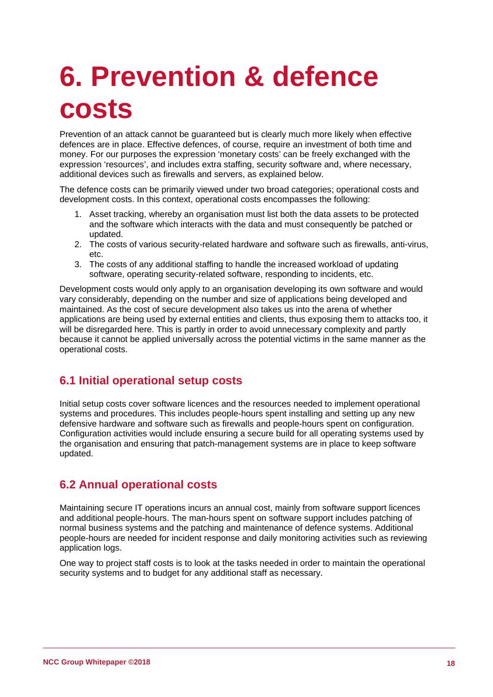## **6. Prevention & defence costs**

Prevention of an attack cannot be guaranteed but is clearly much more likely when effective defences are in place. Effective defences, of course, require an investment of both time and money. For our purposes the expression 'monetary costs' can be freely exchanged with the expression 'resources', and includes extra staffing, security software and, where necessary, additional devices such as firewalls and servers, as explained below.

The defence costs can be primarily viewed under two broad categories; operational costs and development costs. In this context, operational costs encompasses the following:

- 1. Asset tracking, whereby an organisation must list both the data assets to be protected and the software which interacts with the data and must consequently be patched or updated.
- 2. The costs of various security-related hardware and software such as firewalls, anti-virus, etc.
- 3. The costs of any additional staffing to handle the increased workload of updating software, operating security-related software, responding to incidents, etc.

Development costs would only apply to an organisation developing its own software and would vary considerably, depending on the number and size of applications being developed and maintained. As the cost of secure development also takes us into the arena of whether applications are being used by external entities and clients, thus exposing them to attacks too, it will be disregarded here. This is partly in order to avoid unnecessary complexity and partly because it cannot be applied universally across the potential victims in the same manner as the operational costs.

### **6.1 Initial operational setup costs**

Initial setup costs cover software licences and the resources needed to implement operational systems and procedures. This includes people-hours spent installing and setting up any new defensive hardware and software such as firewalls and people-hours spent on configuration. Configuration activities would include ensuring a secure build for all operating systems used by the organisation and ensuring that patch-management systems are in place to keep software updated.

### **6.2 Annual operational costs**

Maintaining secure IT operations incurs an annual cost, mainly from software support licences and additional people-hours. The man-hours spent on software support includes patching of normal business systems and the patching and maintenance of defence systems. Additional people-hours are needed for incident response and daily monitoring activities such as reviewing application logs.

One way to project staff costs is to look at the tasks needed in order to maintain the operational security systems and to budget for any additional staff as necessary.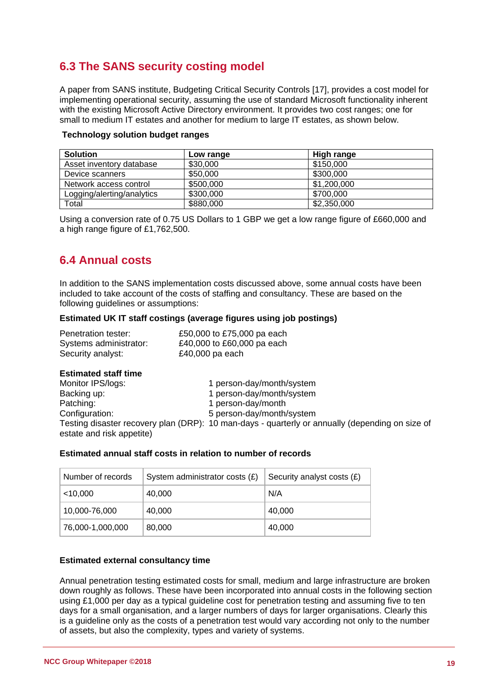### **6.3 The SANS security costing model**

A paper from SANS institute, Budgeting Critical Security Controls [17], provides a cost model for implementing operational security, assuming the use of standard Microsoft functionality inherent with the existing Microsoft Active Directory environment. It provides two cost ranges; one for small to medium IT estates and another for medium to large IT estates, as shown below.

| <b>Solution</b>            | Low range | <b>High range</b> |
|----------------------------|-----------|-------------------|
| Asset inventory database   | \$30,000  | \$150,000         |
| Device scanners            | \$50,000  | \$300,000         |
| Network access control     | \$500,000 | \$1,200,000       |
| Logging/alerting/analytics | \$300,000 | \$700,000         |
| Total                      | \$880,000 | \$2,350,000       |

#### **Technology solution budget ranges**

Using a conversion rate of 0.75 US Dollars to 1 GBP we get a low range figure of £660,000 and a high range figure of £1,762,500.

### **6.4 Annual costs**

In addition to the SANS implementation costs discussed above, some annual costs have been included to take account of the costs of staffing and consultancy. These are based on the following guidelines or assumptions:

#### **Estimated UK IT staff costings (average figures using job postings)**

| Penetration tester:    | £50,000 to £75,000 pa each |
|------------------------|----------------------------|
| Systems administrator: | £40,000 to £60,000 pa each |
| Security analyst:      | £40,000 pa each            |

#### **Estimated staff time**

| Monitor IPS/logs:         | 1 person-day/month/system                                                                       |
|---------------------------|-------------------------------------------------------------------------------------------------|
| Backing up:               | 1 person-day/month/system                                                                       |
| Patching:                 | 1 person-day/month                                                                              |
| Configuration:            | 5 person-day/month/system                                                                       |
| estate and risk appetite) | Testing disaster recovery plan (DRP): 10 man-days - quarterly or annually (depending on size of |

#### **Estimated annual staff costs in relation to number of records**

| Number of records | System administrator costs $(E)$ | Security analyst costs (£) |
|-------------------|----------------------------------|----------------------------|
| $<$ 10,000        | 40,000                           | N/A                        |
| 10,000-76,000     | 40,000                           | 40,000                     |
| 76,000-1,000,000  | 80,000                           | 40,000                     |

#### **Estimated external consultancy time**

Annual penetration testing estimated costs for small, medium and large infrastructure are broken down roughly as follows. These have been incorporated into annual costs in the following section using £1,000 per day as a typical guideline cost for penetration testing and assuming five to ten days for a small organisation, and a larger numbers of days for larger organisations. Clearly this is a guideline only as the costs of a penetration test would vary according not only to the number of assets, but also the complexity, types and variety of systems.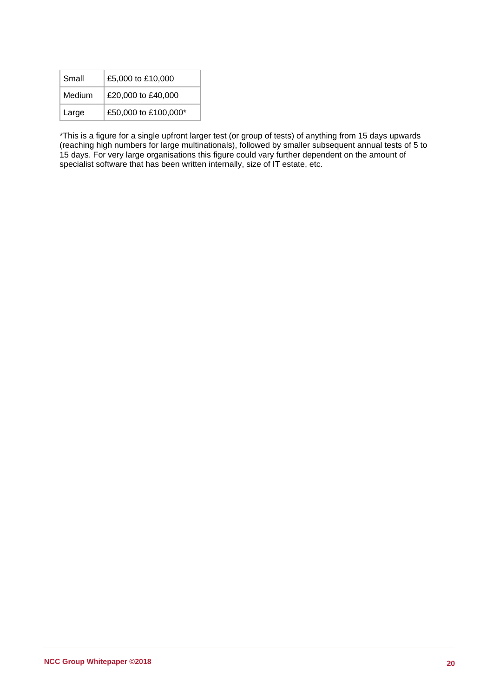| Small  | £5,000 to £10,000    |  |  |
|--------|----------------------|--|--|
| Medium | £20,000 to £40,000   |  |  |
| Large  | £50,000 to £100,000* |  |  |

\*This is a figure for a single upfront larger test (or group of tests) of anything from 15 days upwards (reaching high numbers for large multinationals), followed by smaller subsequent annual tests of 5 to 15 days. For very large organisations this figure could vary further dependent on the amount of specialist software that has been written internally, size of IT estate, etc.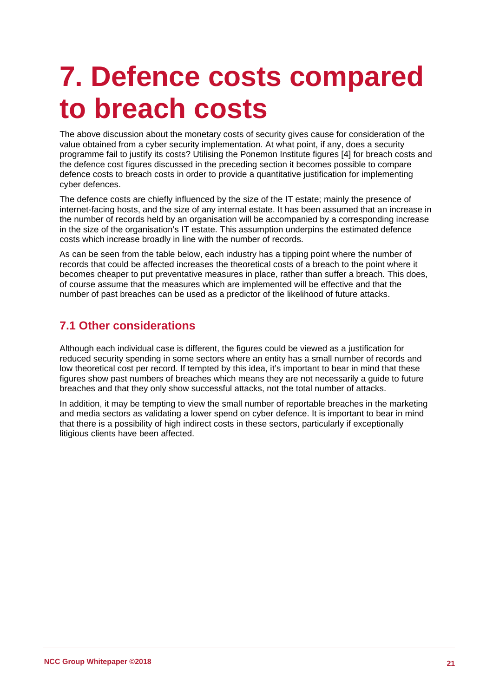### **7. Defence costs compared to breach costs**

The above discussion about the monetary costs of security gives cause for consideration of the value obtained from a cyber security implementation. At what point, if any, does a security programme fail to justify its costs? Utilising the Ponemon Institute figures [4] for breach costs and the defence cost figures discussed in the preceding section it becomes possible to compare defence costs to breach costs in order to provide a quantitative justification for implementing cyber defences.

The defence costs are chiefly influenced by the size of the IT estate; mainly the presence of internet-facing hosts, and the size of any internal estate. It has been assumed that an increase in the number of records held by an organisation will be accompanied by a corresponding increase in the size of the organisation's IT estate. This assumption underpins the estimated defence costs which increase broadly in line with the number of records.

As can be seen from the table below, each industry has a tipping point where the number of records that could be affected increases the theoretical costs of a breach to the point where it becomes cheaper to put preventative measures in place, rather than suffer a breach. This does, of course assume that the measures which are implemented will be effective and that the number of past breaches can be used as a predictor of the likelihood of future attacks.

### **7.1 Other considerations**

Although each individual case is different, the figures could be viewed as a justification for reduced security spending in some sectors where an entity has a small number of records and low theoretical cost per record. If tempted by this idea, it's important to bear in mind that these figures show past numbers of breaches which means they are not necessarily a guide to future breaches and that they only show successful attacks, not the total number of attacks.

In addition, it may be tempting to view the small number of reportable breaches in the marketing and media sectors as validating a lower spend on cyber defence. It is important to bear in mind that there is a possibility of high indirect costs in these sectors, particularly if exceptionally litigious clients have been affected.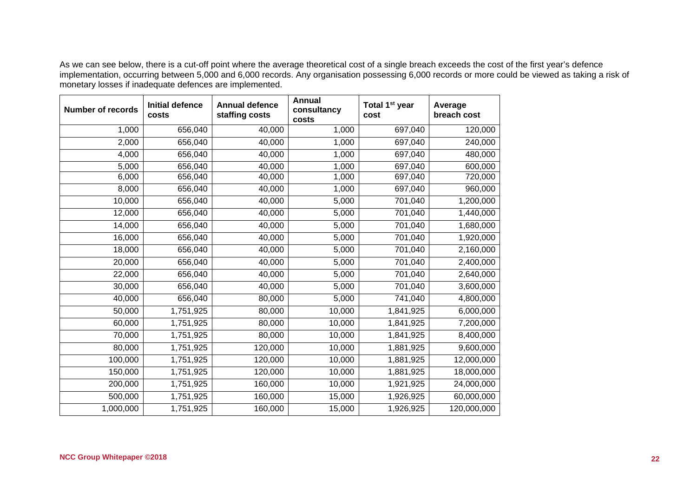As we can see below, there is a cut-off point where the average theoretical cost of a single breach exceeds the cost of the first year's defence implementation, occurring between 5,000 and 6,000 records. Any organisation possessing 6,000 records or more could be viewed as taking a risk of monetary losses if inadequate defences are implemented.

| <b>Number of records</b> | <b>Initial defence</b><br>costs | <b>Annual defence</b><br>staffing costs | <b>Annual</b><br>consultancy<br>costs | Total 1 <sup>st</sup> year<br>cost | Average<br>breach cost |
|--------------------------|---------------------------------|-----------------------------------------|---------------------------------------|------------------------------------|------------------------|
| 1,000                    | 656,040                         | 40,000                                  | 1,000                                 | 697,040                            | 120,000                |
| 2,000                    | 656,040                         | 40,000                                  | 1,000                                 | 697,040                            | 240,000                |
| 4,000                    | 656,040                         | 40,000                                  | 1,000                                 | 697,040                            | 480,000                |
| 5,000                    | 656,040                         | 40,000                                  | 1,000                                 | 697,040                            | 600,000                |
| 6,000                    | 656,040                         | 40,000                                  | 1,000                                 | 697,040                            | 720,000                |
| 8,000                    | 656,040                         | 40,000                                  | 1,000                                 | 697,040                            | 960,000                |
| 10,000                   | 656,040                         | 40,000                                  | 5,000                                 | 701,040                            | 1,200,000              |
| 12,000                   | 656,040                         | 40,000                                  | 5,000                                 | 701,040                            | 1,440,000              |
| 14,000                   | 656,040                         | 40,000                                  | 5,000                                 | 701,040                            | 1,680,000              |
| 16,000                   | 656,040                         | 40,000                                  | 5,000                                 | 701,040                            | 1,920,000              |
| 18,000                   | 656,040                         | 40,000                                  | 5,000                                 | 701,040                            | 2,160,000              |
| 20,000                   | 656,040                         | 40,000                                  | 5,000                                 | 701,040                            | 2,400,000              |
| 22,000                   | 656,040                         | 40,000                                  | 5,000                                 | 701,040                            | 2,640,000              |
| 30,000                   | 656,040                         | 40,000                                  | 5,000                                 | 701,040                            | 3,600,000              |
| 40,000                   | 656,040                         | 80,000                                  | 5,000                                 | 741,040                            | 4,800,000              |
| 50,000                   | 1,751,925                       | 80,000                                  | 10,000                                | 1,841,925                          | 6,000,000              |
| 60,000                   | 1,751,925                       | 80,000                                  | 10,000                                | 1,841,925                          | 7,200,000              |
| 70,000                   | 1,751,925                       | 80,000                                  | 10,000                                | 1,841,925                          | 8,400,000              |
| 80,000                   | 1,751,925                       | 120,000                                 | 10,000                                | 1,881,925                          | 9,600,000              |
| 100,000                  | 1,751,925                       | 120,000                                 | 10,000                                | 1,881,925                          | 12,000,000             |
| 150,000                  | 1,751,925                       | 120,000                                 | 10,000                                | 1,881,925                          | 18,000,000             |
| 200,000                  | 1,751,925                       | 160,000                                 | 10,000                                | 1,921,925                          | 24,000,000             |
| 500,000                  | 1,751,925                       | 160,000                                 | 15,000                                | 1,926,925                          | 60,000,000             |
| 1,000,000                | 1,751,925                       | 160,000                                 | 15,000                                | 1,926,925                          | 120,000,000            |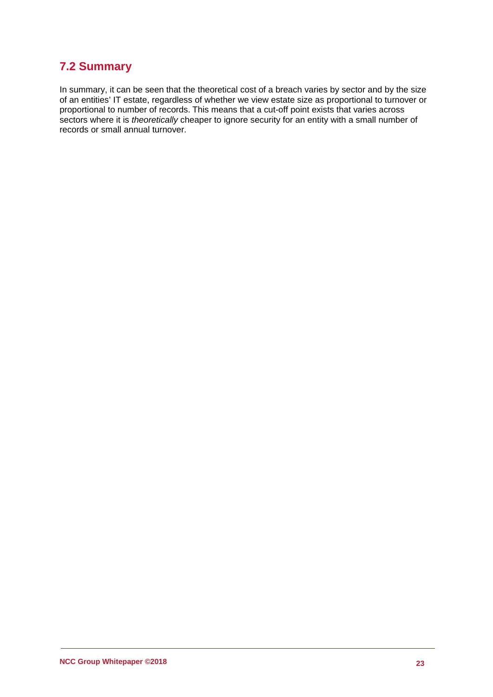### **7.2 Summary**

In summary, it can be seen that the theoretical cost of a breach varies by sector and by the size of an entities' IT estate, regardless of whether we view estate size as proportional to turnover or proportional to number of records. This means that a cut-off point exists that varies across sectors where it is *theoretically* cheaper to ignore security for an entity with a small number of records or small annual turnover.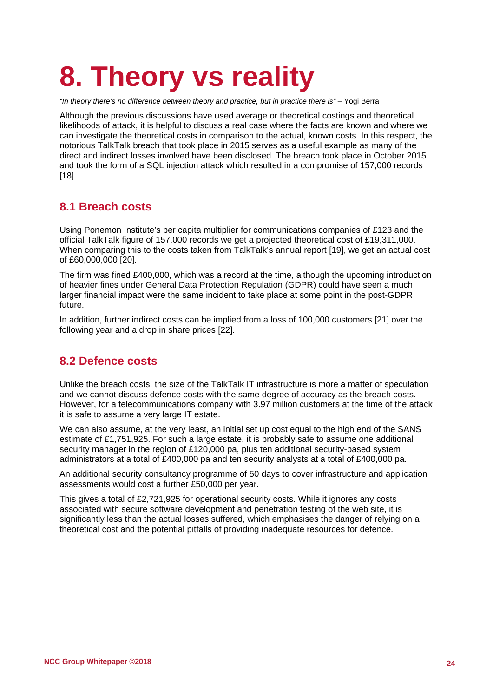## **8. Theory vs reality**

*"In theory there's no difference between theory and practice, but in practice there is"* – Yogi Berra

Although the previous discussions have used average or theoretical costings and theoretical likelihoods of attack, it is helpful to discuss a real case where the facts are known and where we can investigate the theoretical costs in comparison to the actual, known costs. In this respect, the notorious TalkTalk breach that took place in 2015 serves as a useful example as many of the direct and indirect losses involved have been disclosed. The breach took place in October 2015 and took the form of a SQL injection attack which resulted in a compromise of 157,000 records [18].

### **8.1 Breach costs**

Using Ponemon Institute's per capita multiplier for communications companies of £123 and the official TalkTalk figure of 157,000 records we get a projected theoretical cost of £19,311,000. When comparing this to the costs taken from TalkTalk's annual report [19], we get an actual cost of £60,000,000 [20].

The firm was fined £400,000, which was a record at the time, although the upcoming introduction of heavier fines under General Data Protection Regulation (GDPR) could have seen a much larger financial impact were the same incident to take place at some point in the post-GDPR future.

In addition, further indirect costs can be implied from a loss of 100,000 customers [21] over the following year and a drop in share prices [22].

### **8.2 Defence costs**

Unlike the breach costs, the size of the TalkTalk IT infrastructure is more a matter of speculation and we cannot discuss defence costs with the same degree of accuracy as the breach costs. However, for a telecommunications company with 3.97 million customers at the time of the attack it is safe to assume a very large IT estate.

We can also assume, at the very least, an initial set up cost equal to the high end of the SANS estimate of £1,751,925. For such a large estate, it is probably safe to assume one additional security manager in the region of £120,000 pa, plus ten additional security-based system administrators at a total of £400,000 pa and ten security analysts at a total of £400,000 pa.

An additional security consultancy programme of 50 days to cover infrastructure and application assessments would cost a further £50,000 per year.

This gives a total of £2,721,925 for operational security costs. While it ignores any costs associated with secure software development and penetration testing of the web site, it is significantly less than the actual losses suffered, which emphasises the danger of relying on a theoretical cost and the potential pitfalls of providing inadequate resources for defence.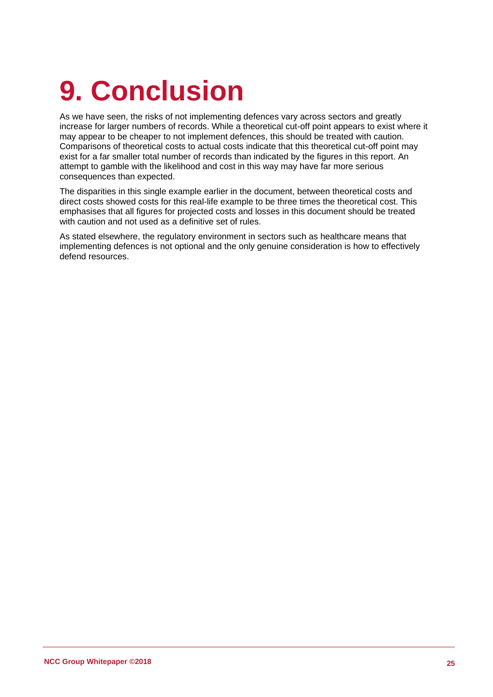## **9. Conclusion**

As we have seen, the risks of not implementing defences vary across sectors and greatly increase for larger numbers of records. While a theoretical cut-off point appears to exist where it may appear to be cheaper to not implement defences, this should be treated with caution. Comparisons of theoretical costs to actual costs indicate that this theoretical cut-off point may exist for a far smaller total number of records than indicated by the figures in this report. An attempt to gamble with the likelihood and cost in this way may have far more serious consequences than expected.

The disparities in this single example earlier in the document, between theoretical costs and direct costs showed costs for this real-life example to be three times the theoretical cost. This emphasises that all figures for projected costs and losses in this document should be treated with caution and not used as a definitive set of rules.

As stated elsewhere, the regulatory environment in sectors such as healthcare means that implementing defences is not optional and the only genuine consideration is how to effectively defend resources.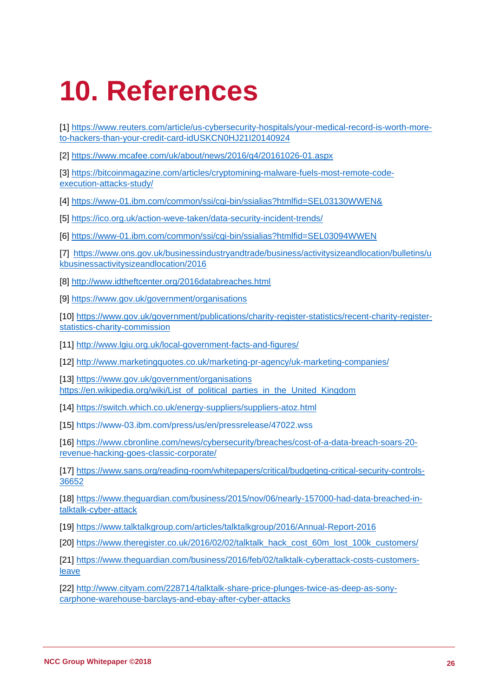## **10. References**

[1] [https://www.reuters.com/article/us-cybersecurity-hospitals/your-medical-record-is-worth-more](https://www.reuters.com/article/us-cybersecurity-hospitals/your-medical-record-is-worth-more-to-hackers-than-your-credit-card-idUSKCN0HJ21I20140924)[to-hackers-than-your-credit-card-idUSKCN0HJ21I20140924](https://www.reuters.com/article/us-cybersecurity-hospitals/your-medical-record-is-worth-more-to-hackers-than-your-credit-card-idUSKCN0HJ21I20140924)

[2]<https://www.mcafee.com/uk/about/news/2016/q4/20161026-01.aspx>

[3] [https://bitcoinmagazine.com/articles/cryptomining-malware-fuels-most-remote-code](https://bitcoinmagazine.com/articles/cryptomining-malware-fuels-most-remote-code-execution-attacks-study/)[execution-attacks-study/](https://bitcoinmagazine.com/articles/cryptomining-malware-fuels-most-remote-code-execution-attacks-study/)

[4]<https://www-01.ibm.com/common/ssi/cgi-bin/ssialias?htmlfid=SEL03130WWEN&>

[5]<https://ico.org.uk/action-weve-taken/data-security-incident-trends/>

[6]<https://www-01.ibm.com/common/ssi/cgi-bin/ssialias?htmlfid=SEL03094WWEN>

[7] https://www.ons.gov.uk/businessindustryandtrade/business/activitysizeandlocation/bulletins/u [kbusinessactivitysizeandlocation/2016](https://www.ons.gov.uk/businessindustryandtrade/business/activitysizeandlocation/bulletins/ukbusinessactivitysizeandlocation/2016)

[8]<http://www.idtheftcenter.org/2016databreaches.html>

[9]<https://www.gov.uk/government/organisations>

[10] [https://www.gov.uk/government/publications/charity-register-statistics/recent-charity-register](https://www.gov.uk/government/publications/charity-register-statistics/recent-charity-register-statistics-charity-commission)[statistics-charity-commission](https://www.gov.uk/government/publications/charity-register-statistics/recent-charity-register-statistics-charity-commission)

[11]<http://www.lgiu.org.uk/local-government-facts-and-figures/>

[12]<http://www.marketingquotes.co.uk/marketing-pr-agency/uk-marketing-companies/>

[13]<https://www.gov.uk/government/organisations> [https://en.wikipedia.org/wiki/List\\_of\\_political\\_parties\\_in\\_the\\_United\\_Kingdom](https://en.wikipedia.org/wiki/List_of_political_parties_in_the_United_Kingdom)

[14]<https://switch.which.co.uk/energy-suppliers/suppliers-atoz.html>

[15]<https://www-03.ibm.com/press/us/en/pressrelease/47022.wss>

[16] [https://www.cbronline.com/news/cybersecurity/breaches/cost-of-a-data-breach-soars-20](https://www.cbronline.com/news/cybersecurity/breaches/cost-of-a-data-breach-soars-20-revenue-hacking-goes-classic-corporate/) [revenue-hacking-goes-classic-corporate/](https://www.cbronline.com/news/cybersecurity/breaches/cost-of-a-data-breach-soars-20-revenue-hacking-goes-classic-corporate/)

[17] [https://www.sans.org/reading-room/whitepapers/critical/budgeting-critical-security-controls-](https://www.sans.org/reading-room/whitepapers/critical/budgeting-critical-security-controls-36652)[36652](https://www.sans.org/reading-room/whitepapers/critical/budgeting-critical-security-controls-36652)

[18] [https://www.theguardian.com/business/2015/nov/06/nearly-157000-had-data-breached-in](https://www.theguardian.com/business/2015/nov/06/nearly-157000-had-data-breached-in-talktalk-cyber-attack)[talktalk-cyber-attack](https://www.theguardian.com/business/2015/nov/06/nearly-157000-had-data-breached-in-talktalk-cyber-attack)

[19]<https://www.talktalkgroup.com/articles/talktalkgroup/2016/Annual-Report-2016>

[20] [https://www.theregister.co.uk/2016/02/02/talktalk\\_hack\\_cost\\_60m\\_lost\\_100k\\_customers/](https://www.theregister.co.uk/2016/02/02/talktalk_hack_cost_60m_lost_100k_customers/)

[21] [https://www.theguardian.com/business/2016/feb/02/talktalk-cyberattack-costs-customers](https://www.theguardian.com/business/2016/feb/02/talktalk-cyberattack-costs-customers-leave)[leave](https://www.theguardian.com/business/2016/feb/02/talktalk-cyberattack-costs-customers-leave)

[22] [http://www.cityam.com/228714/talktalk-share-price-plunges-twice-as-deep-as-sony](http://www.cityam.com/228714/talktalk-share-price-plunges-twice-as-deep-as-sony-carphone-warehouse-barclays-and-ebay-after-cyber-attacks)[carphone-warehouse-barclays-and-ebay-after-cyber-attacks](http://www.cityam.com/228714/talktalk-share-price-plunges-twice-as-deep-as-sony-carphone-warehouse-barclays-and-ebay-after-cyber-attacks)